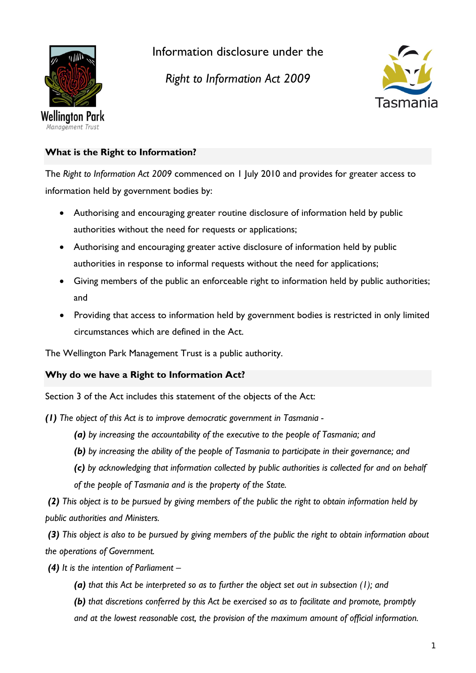

Information disclosure under the

*Right to Information Act 2009*



# **What is the Right to Information?**

The *Right to Information Act 2009* commenced on 1 July 2010 and provides for greater access to information held by government bodies by:

- Authorising and encouraging greater routine disclosure of information held by public authorities without the need for requests or applications;
- Authorising and encouraging greater active disclosure of information held by public authorities in response to informal requests without the need for applications;
- Giving members of the public an enforceable right to information held by public authorities; and
- Providing that access to information held by government bodies is restricted in only limited circumstances which are defined in the Act.

The Wellington Park Management Trust is a public authority.

## **Why do we have a Right to Information Act?**

Section 3 of the Act includes this statement of the objects of the Act:

*(1) The object of this Act is to improve democratic government in Tasmania -*

- *(a) by increasing the accountability of the executive to the people of Tasmania; and*
- *(b) by increasing the ability of the people of Tasmania to participate in their governance; and*
- *(c) by acknowledging that information collected by public authorities is collected for and on behalf of the people of Tasmania and is the property of the State.*

*(2) This object is to be pursued by giving members of the public the right to obtain information held by public authorities and Ministers.*

*(3) This object is also to be pursued by giving members of the public the right to obtain information about the operations of Government.*

- *(4) It is the intention of Parliament –*
	- *(a) that this Act be interpreted so as to further the object set out in subsection (1); and*

*(b) that discretions conferred by this Act be exercised so as to facilitate and promote, promptly and at the lowest reasonable cost, the provision of the maximum amount of official information.*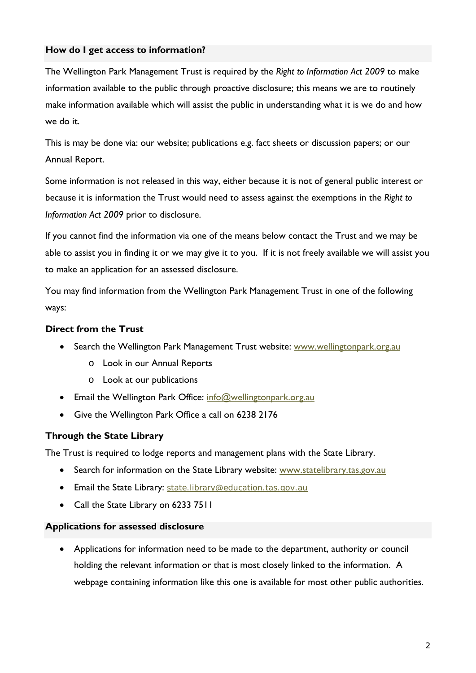### **How do I get access to information?**

The Wellington Park Management Trust is required by the *Right to Information Act 2009* to make information available to the public through proactive disclosure; this means we are to routinely make information available which will assist the public in understanding what it is we do and how we do it.

This is may be done via: our website; publications e.g. fact sheets or discussion papers; or our Annual Report.

Some information is not released in this way, either because it is not of general public interest or because it is information the Trust would need to assess against the exemptions in the *Right to Information Act 2009* prior to disclosure.

If you cannot find the information via one of the means below contact the Trust and we may be able to assist you in finding it or we may give it to you. If it is not freely available we will assist you to make an application for an assessed disclosure.

You may find information from the Wellington Park Management Trust in one of the following ways:

### **Direct from the Trust**

- Search the Wellington Park Management Trust website: [www.wellingtonpark.org.au](http://www.wellingtonpark.org.au/)
	- o Look in our Annual Reports
	- o Look at our publications
- Email the Wellington Park Office: [info@wellingtonpark.org.au](mailto:info@wellingtonpark.org.au)
- Give the Wellington Park Office a call on 6238 2176

### **Through the State Library**

The Trust is required to lodge reports and management plans with the State Library.

- Search for information on the State Library website: [www.statelibrary.tas.gov.au](http://www.statelibrary.tas.gov.au/)
- Email the State Library: [state.library@education.tas.gov.au](mailto:state.library@education.tas.gov.au)
- Call the State Library on 6233 7511

#### **Applications for assessed disclosure**

• Applications for information need to be made to the department, authority or council holding the relevant information or that is most closely linked to the information. A webpage containing information like this one is available for most other public authorities.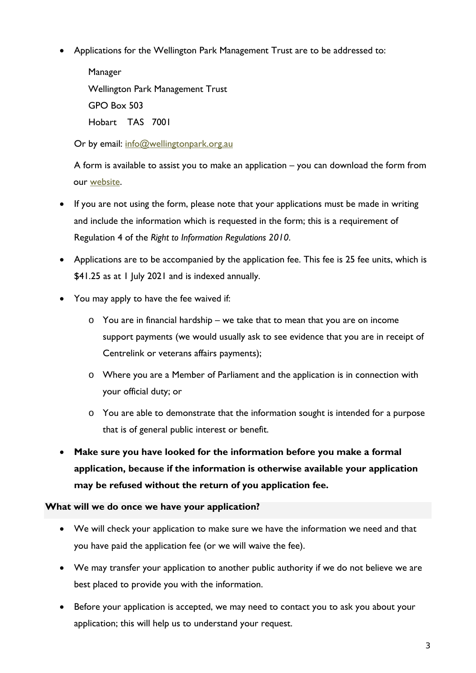• Applications for the Wellington Park Management Trust are to be addressed to:

Manager Wellington Park Management Trust GPO Box 503 Hobart TAS 7001

Or by email: [info@wellingtonpark.org.au](mailto:info@wellingtonpark.org.au)

A form is available to assist you to make an application – you can download the form from our [website.](http://www.wellingtonpark.org.au/right-to-information/)

- If you are not using the form, please note that your applications must be made in writing and include the information which is requested in the form; this is a requirement of Regulation 4 of the *Right to Information Regulations 2010*.
- Applications are to be accompanied by the application fee. This fee is 25 fee units, which is \$41.25 as at 1 July 2021 and is indexed annually.
- You may apply to have the fee waived if:
	- o You are in financial hardship we take that to mean that you are on income support payments (we would usually ask to see evidence that you are in receipt of Centrelink or veterans affairs payments);
	- o Where you are a Member of Parliament and the application is in connection with your official duty; or
	- o You are able to demonstrate that the information sought is intended for a purpose that is of general public interest or benefit.
- **Make sure you have looked for the information before you make a formal application, because if the information is otherwise available your application may be refused without the return of you application fee.**

### **What will we do once we have your application?**

- We will check your application to make sure we have the information we need and that you have paid the application fee (or we will waive the fee).
- We may transfer your application to another public authority if we do not believe we are best placed to provide you with the information.
- Before your application is accepted, we may need to contact you to ask you about your application; this will help us to understand your request.